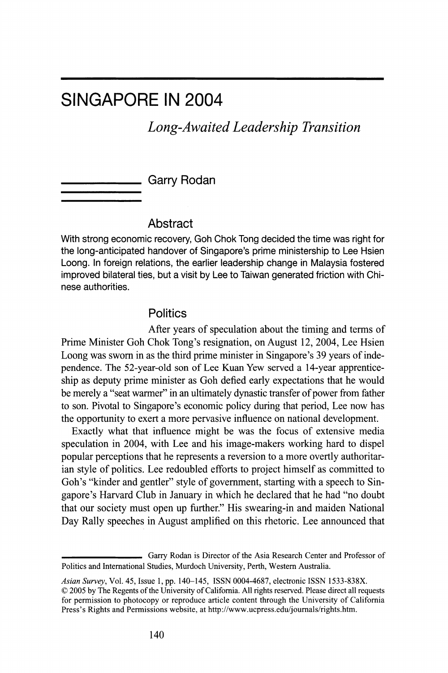# **SINGAPORE IN 2004**

# **Long-Awaited Leadership Transition**

**Garry Rodan** 

## **Abstract**

**With strong economic recovery, Goh Chok Tong decided the time was right for the long-anticipated handover of Singapore's prime ministership to Lee Hsien Loong. In foreign relations, the earlier leadership change in Malaysia fostered improved bilateral ties, but a visit by Lee to Taiwan generated friction with Chinese authorities.** 

### **Politics**

**After years of speculation about the timing and terms of Prime Minister Goh Chok Tong's resignation, on August 12, 2004, Lee Hsien Loong was sworn in as the third prime minister in Singapore's 39 years of independence. The 52-year-old son of Lee Kuan Yew served a 14-year apprenticeship as deputy prime minister as Goh defied early expectations that he would be merely a "seat warmer" in an ultimately dynastic transfer of power from father to son. Pivotal to Singapore's economic policy during that period, Lee now has the opportunity to exert a more pervasive influence on national development.** 

**Exactly what that influence might be was the focus of extensive media speculation in 2004, with Lee and his image-makers working hard to dispel popular perceptions that he represents a reversion to a more overtly authoritarian style of politics. Lee redoubled efforts to project himself as committed to Goh's "kinder and gentler" style of government, starting with a speech to Singapore's Harvard Club in January in which he declared that he had "no doubt that our society must open up further." His swearing-in and maiden National Day Rally speeches in August amplified on this rhetoric. Lee announced that** 

**Garry Rodan is Director of the Asia Research Center and Professor of Politics and International Studies, Murdoch University, Perth, Western Australia.** 

**Asian Survey, Vol. 45, Issue 1, pp. 140-145, ISSN 0004-4687, electronic ISSN 1533-838X. ? 2005 by The Regents of the University of California. All rights reserved. Please direct all requests for permission to photocopy or reproduce article content through the University of California Press's Rights and Permissions website, at http://www.ucpress.edu/journals/rights.htm.**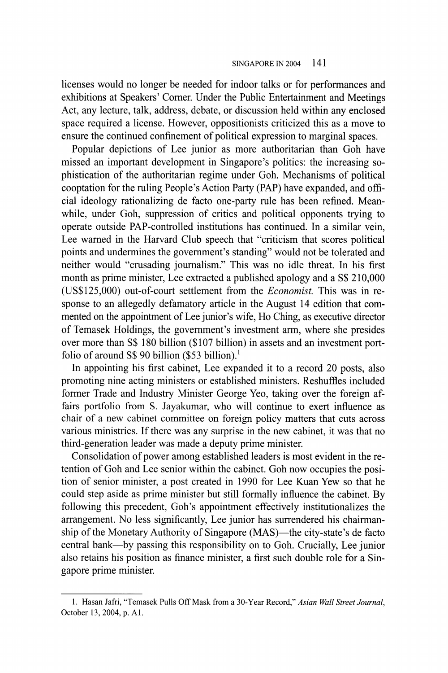**licenses would no longer be needed for indoor talks or for performances and exhibitions at Speakers' Comer. Under the Public Entertainment and Meetings Act, any lecture, talk, address, debate, or discussion held within any enclosed space required a license. However, oppositionists criticized this as a move to ensure the continued confinement of political expression to marginal spaces.** 

**Popular depictions of Lee junior as more authoritarian than Goh have missed an important development in Singapore's politics: the increasing sophistication of the authoritarian regime under Goh. Mechanisms of political cooptation for the ruling People's Action Party (PAP) have expanded, and official ideology rationalizing de facto one-party rule has been refined. Meanwhile, under Goh, suppression of critics and political opponents trying to operate outside PAP-controlled institutions has continued. In a similar vein, Lee warned in the Harvard Club speech that "criticism that scores political points and undermines the government's standing" would not be tolerated and neither would "crusading journalism." This was no idle threat. In his first month as prime minister, Lee extracted a published apology and a S\$ 210,000 (US\$125,000) out-of-court settlement from the Economist. This was in response to an allegedly defamatory article in the August 14 edition that commented on the appointment of Lee junior's wife, Ho Ching, as executive director of Temasek Holdings, the government's investment arm, where she presides over more than S\$ 180 billion (\$107 billion) in assets and an investment portfolio of around S\$ 90 billion (\$53 billion).1** 

**In appointing his first cabinet, Lee expanded it to a record 20 posts, also promoting nine acting ministers or established ministers. Reshuffles included former Trade and Industry Minister George Yeo, taking over the foreign affairs portfolio from S. Jayakumar, who will continue to exert influence as chair of a new cabinet committee on foreign policy matters that cuts across various ministries. If there was any surprise in the new cabinet, it was that no third-generation leader was made a deputy prime minister.** 

**Consolidation of power among established leaders is most evident in the retention of Goh and Lee senior within the cabinet. Goh now occupies the position of senior minister, a post created in 1990 for Lee Kuan Yew so that he could step aside as prime minister but still formally influence the cabinet. By following this precedent, Goh's appointment effectively institutionalizes the arrangement. No less significantly, Lee junior has surrendered his chairman**ship of the Monetary Authority of Singapore (MAS)—the city-state's de facto **central bank-by passing this responsibility on to Goh. Crucially, Lee junior also retains his position as finance minister, a first such double role for a Singapore prime minister.** 

**<sup>1.</sup> Hasan Jafri, "Temasek Pulls Off Mask from a 30-Year Record," Asian Wall Street Journal, October 13, 2004, p. Al.**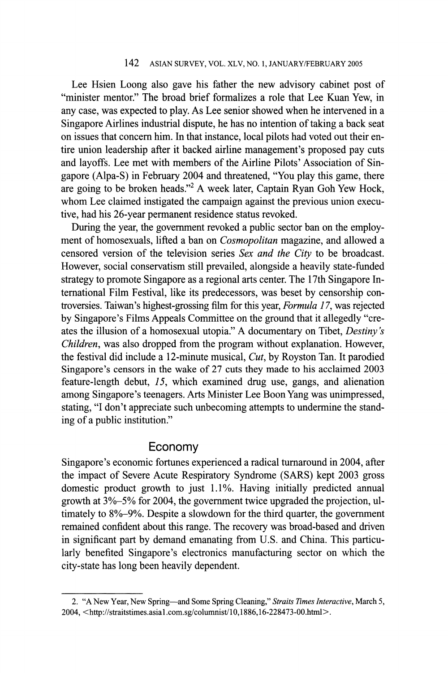#### **142 ASIAN SURVEY, VOL. XLV, NO. 1, JANUARY/FEBRUARY 2005**

**Lee Hsien Loong also gave his father the new advisory cabinet post of "minister mentor." The broad brief formalizes a role that Lee Kuan Yew, in any case, was expected to play. As Lee senior showed when he intervened in a Singapore Airlines industrial dispute, he has no intention of taking a back seat on issues that concern him. In that instance, local pilots had voted out their entire union leadership after it backed airline management's proposed pay cuts and layoffs. Lee met with members of the Airline Pilots' Association of Singapore (Alpa-S) in February 2004 and threatened, "You play this game, there are going to be broken heads."2 A week later, Captain Ryan Goh Yew Hock, whom Lee claimed instigated the campaign against the previous union executive, had his 26-year permanent residence status revoked.** 

**During the year, the government revoked a public sector ban on the employment of homosexuals, lifted a ban on Cosmopolitan magazine, and allowed a censored version of the television series Sex and the City to be broadcast. However, social conservatism still prevailed, alongside a heavily state-funded strategy to promote Singapore as a regional arts center. The 17th Singapore International Film Festival, like its predecessors, was beset by censorship controversies. Taiwan's highest-grossing film for this year, Formula 17, was rejected by Singapore's Films Appeals Committee on the ground that it allegedly "creates the illusion of a homosexual utopia." A documentary on Tibet, Destiny 's Children, was also dropped from the program without explanation. However, the festival did include a 12-minute musical, Cut, by Royston Tan. It parodied Singapore's censors in the wake of 27 cuts they made to his acclaimed 2003 feature-length debut, 15, which examined drug use, gangs, and alienation among Singapore's teenagers. Arts Minister Lee Boon Yang was unimpressed, stating, "I don't appreciate such unbecoming attempts to undermine the standing of a public institution."** 

#### **Economy**

**Singapore's economic fortunes experienced a radical turnaround in 2004, after the impact of Severe Acute Respiratory Syndrome (SARS) kept 2003 gross domestic product growth to just 1.1%. Having initially predicted annual growth at 3%-5% for 2004, the government twice upgraded the projection, ultimately to 8%-9%. Despite a slowdown for the third quarter, the government remained confident about this range. The recovery was broad-based and driven in significant part by demand emanating from U.S. and China. This particularly benefited Singapore's electronics manufacturing sector on which the city-state has long been heavily dependent.** 

**<sup>2. &</sup>quot;A New Year, New Spring-and Some Spring Cleaning," Straits Times Interactive, March 5, 2004, <http://straitstimes.asia1 .com.sg/columnist/10,1886,16-228473-00.html>.**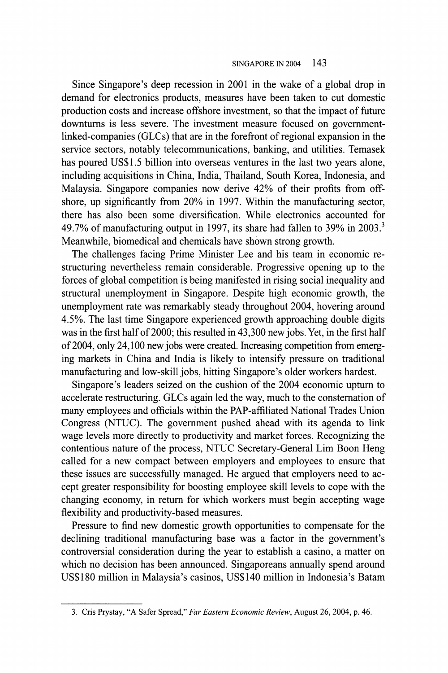#### **SINGAPORE IN 2004 143**

**Since Singapore's deep recession in 2001 in the wake of a global drop in demand for electronics products, measures have been taken to cut domestic production costs and increase offshore investment, so that the impact of future downturns is less severe. The investment measure focused on governmentlinked-companies (GLCs) that are in the forefront of regional expansion in the service sectors, notably telecommunications, banking, and utilities. Temasek has poured US\$1.5 billion into overseas ventures in the last two years alone, including acquisitions in China, India, Thailand, South Korea, Indonesia, and Malaysia. Singapore companies now derive 42% of their profits from offshore, up significantly from 20% in 1997. Within the manufacturing sector, there has also been some diversification. While electronics accounted for 49.7% of manufacturing output in 1997, its share had fallen to 39% in 2003.3 Meanwhile, biomedical and chemicals have shown strong growth.** 

**The challenges facing Prime Minister Lee and his team in economic restructuring nevertheless remain considerable. Progressive opening up to the forces of global competition is being manifested in rising social inequality and structural unemployment in Singapore. Despite high economic growth, the unemployment rate was remarkably steady throughout 2004, hovering around 4.5%. The last time Singapore experienced growth approaching double digits was in the first half of 2000; this resulted in 43,300 new jobs. Yet, in the first half of 2004, only 24,100 new jobs were created. Increasing competition from emerging markets in China and India is likely to intensify pressure on traditional manufacturing and low-skill jobs, hitting Singapore's older workers hardest.** 

**Singapore's leaders seized on the cushion of the 2004 economic upturn to accelerate restructuring. GLCs again led the way, much to the consternation of many employees and officials within the PAP-affiliated National Trades Union Congress (NTUC). The government pushed ahead with its agenda to link wage levels more directly to productivity and market forces. Recognizing the contentious nature of the process, NTUC Secretary-General Lim Boon Heng called for a new compact between employers and employees to ensure that these issues are successfully managed. He argued that employers need to accept greater responsibility for boosting employee skill levels to cope with the changing economy, in return for which workers must begin accepting wage flexibility and productivity-based measures.** 

**Pressure to find new domestic growth opportunities to compensate for the declining traditional manufacturing base was a factor in the government's controversial consideration during the year to establish a casino, a matter on which no decision has been announced. Singaporeans annually spend around US\$180 million in Malaysia's casinos, US\$140 million in Indonesia's Batam** 

**<sup>3.</sup> Cris Prystay, "A Safer Spread," Far Eastern Economic Review, August 26, 2004, p. 46.**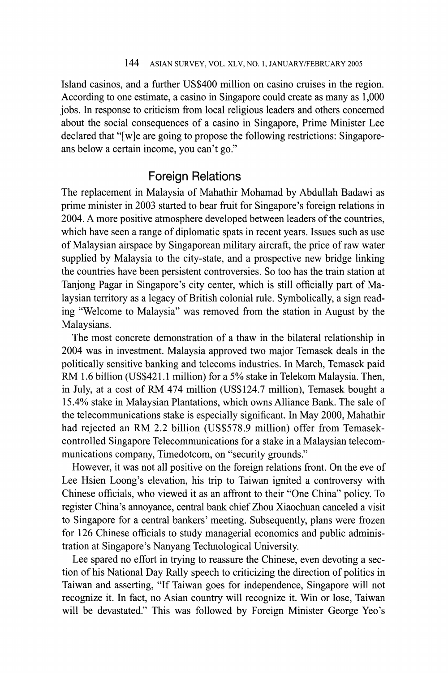**Island casinos, and a further US\$400 million on casino cruises in the region. According to one estimate, a casino in Singapore could create as many as 1,000 jobs. In response to criticism from local religious leaders and others concerned about the social consequences of a casino in Singapore, Prime Minister Lee declared that "[w]e are going to propose the following restrictions: Singaporeans below a certain income, you can't go."** 

# **Foreign Relations**

**The replacement in Malaysia of Mahathir Mohamad by Abdullah Badawi as prime minister in 2003 started to bear fruit for Singapore's foreign relations in 2004. A more positive atmosphere developed between leaders of the countries, which have seen a range of diplomatic spats in recent years. Issues such as use of Malaysian airspace by Singaporean military aircraft, the price of raw water supplied by Malaysia to the city-state, and a prospective new bridge linking the countries have been persistent controversies. So too has the train station at Tanjong Pagar in Singapore's city center, which is still officially part of Malaysian territory as a legacy of British colonial rule. Symbolically, a sign reading "Welcome to Malaysia" was removed from the station in August by the Malaysians.** 

**The most concrete demonstration of a thaw in the bilateral relationship in 2004 was in investment. Malaysia approved two major Temasek deals in the politically sensitive banking and telecoms industries. In March, Temasek paid RM 1.6 billion (US\$421.1 million) for a 5% stake in Telekom Malaysia. Then, in July, at a cost of RM 474 million (US\$124.7 million), Temasek bought a 15.4% stake in Malaysian Plantations, which owns Alliance Bank. The sale of the telecommunications stake is especially significant. In May 2000, Mahathir had rejected an RM 2.2 billion (US\$578.9 million) offer from Temasekcontrolled Singapore Telecommunications for a stake in a Malaysian telecommunications company, Timedotcom, on "security grounds."** 

**However, it was not all positive on the foreign relations front. On the eve of Lee Hsien Loong's elevation, his trip to Taiwan ignited a controversy with Chinese officials, who viewed it as an affront to their "One China" policy. To register China's annoyance, central bank chief Zhou Xiaochuan canceled a visit to Singapore for a central bankers' meeting. Subsequently, plans were frozen for 126 Chinese officials to study managerial economics and public administration at Singapore's Nanyang Technological University.** 

**Lee spared no effort in trying to reassure the Chinese, even devoting a section of his National Day Rally speech to criticizing the direction of politics in Taiwan and asserting, "If Taiwan goes for independence, Singapore will not recognize it. In fact, no Asian country will recognize it. Win or lose, Taiwan will be devastated." This was followed by Foreign Minister George Yeo's**